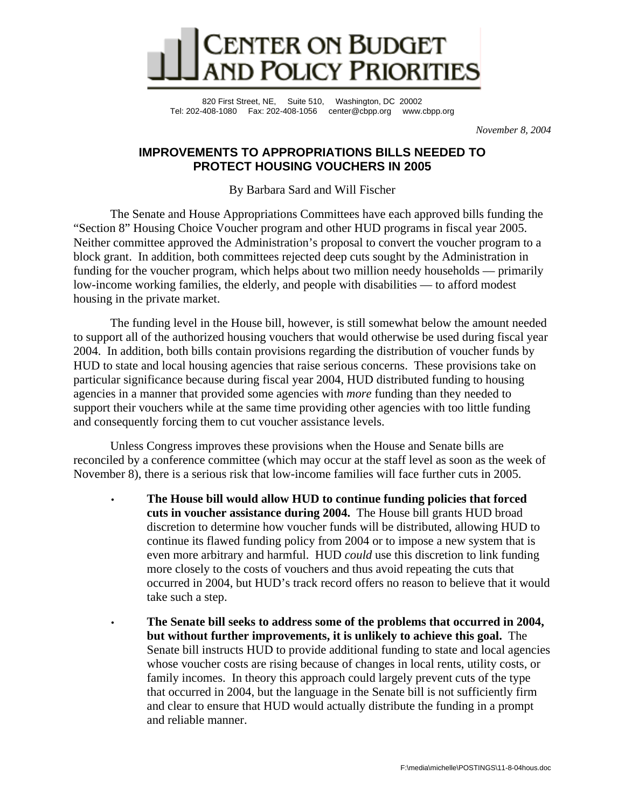

820 First Street, NE, Suite 510, Washington, DC 20002 Tel: 202-408-1080 Fax: 202-408-1056 center@cbpp.org www.cbpp.org

 *November 8, 2004* 

# **IMPROVEMENTS TO APPROPRIATIONS BILLS NEEDED TO PROTECT HOUSING VOUCHERS IN 2005**

By Barbara Sard and Will Fischer

 The Senate and House Appropriations Committees have each approved bills funding the "Section 8" Housing Choice Voucher program and other HUD programs in fiscal year 2005. Neither committee approved the Administration's proposal to convert the voucher program to a block grant. In addition, both committees rejected deep cuts sought by the Administration in funding for the voucher program, which helps about two million needy households — primarily low-income working families, the elderly, and people with disabilities — to afford modest housing in the private market.

The funding level in the House bill, however, is still somewhat below the amount needed to support all of the authorized housing vouchers that would otherwise be used during fiscal year 2004. In addition, both bills contain provisions regarding the distribution of voucher funds by HUD to state and local housing agencies that raise serious concerns. These provisions take on particular significance because during fiscal year 2004, HUD distributed funding to housing agencies in a manner that provided some agencies with *more* funding than they needed to support their vouchers while at the same time providing other agencies with too little funding and consequently forcing them to cut voucher assistance levels.

Unless Congress improves these provisions when the House and Senate bills are reconciled by a conference committee (which may occur at the staff level as soon as the week of November 8), there is a serious risk that low-income families will face further cuts in 2005.

- **The House bill would allow HUD to continue funding policies that forced cuts in voucher assistance during 2004.** The House bill grants HUD broad discretion to determine how voucher funds will be distributed, allowing HUD to continue its flawed funding policy from 2004 or to impose a new system that is even more arbitrary and harmful. HUD *could* use this discretion to link funding more closely to the costs of vouchers and thus avoid repeating the cuts that occurred in 2004, but HUD's track record offers no reason to believe that it would take such a step.
- **The Senate bill seeks to address some of the problems that occurred in 2004, but without further improvements, it is unlikely to achieve this goal.** The Senate bill instructs HUD to provide additional funding to state and local agencies whose voucher costs are rising because of changes in local rents, utility costs, or family incomes. In theory this approach could largely prevent cuts of the type that occurred in 2004, but the language in the Senate bill is not sufficiently firm and clear to ensure that HUD would actually distribute the funding in a prompt and reliable manner.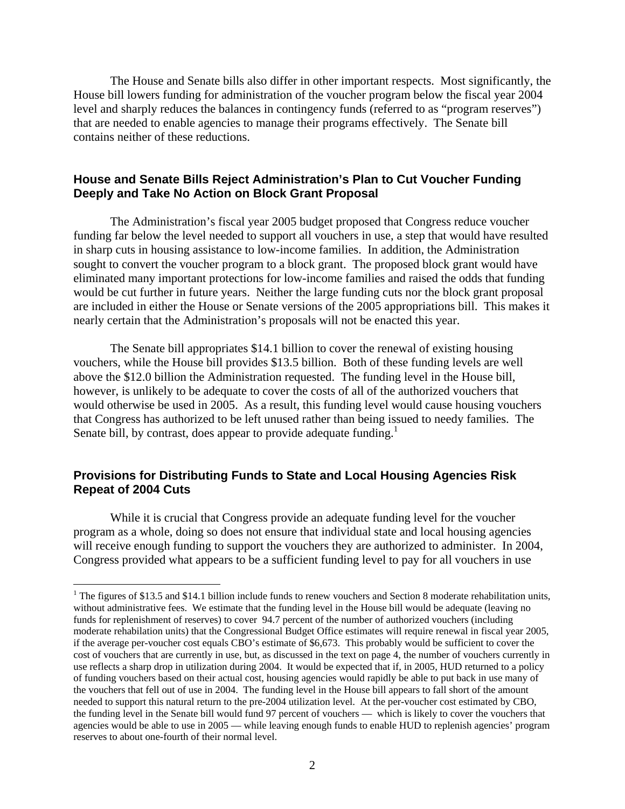The House and Senate bills also differ in other important respects. Most significantly, the House bill lowers funding for administration of the voucher program below the fiscal year 2004 level and sharply reduces the balances in contingency funds (referred to as "program reserves") that are needed to enable agencies to manage their programs effectively. The Senate bill contains neither of these reductions.

## **House and Senate Bills Reject Administration's Plan to Cut Voucher Funding Deeply and Take No Action on Block Grant Proposal**

The Administration's fiscal year 2005 budget proposed that Congress reduce voucher funding far below the level needed to support all vouchers in use, a step that would have resulted in sharp cuts in housing assistance to low-income families. In addition, the Administration sought to convert the voucher program to a block grant. The proposed block grant would have eliminated many important protections for low-income families and raised the odds that funding would be cut further in future years. Neither the large funding cuts nor the block grant proposal are included in either the House or Senate versions of the 2005 appropriations bill. This makes it nearly certain that the Administration's proposals will not be enacted this year.

 The Senate bill appropriates \$14.1 billion to cover the renewal of existing housing vouchers, while the House bill provides \$13.5 billion. Both of these funding levels are well above the \$12.0 billion the Administration requested. The funding level in the House bill, however, is unlikely to be adequate to cover the costs of all of the authorized vouchers that would otherwise be used in 2005. As a result, this funding level would cause housing vouchers that Congress has authorized to be left unused rather than being issued to needy families. The Senate bill, by contrast, does appear to provide adequate funding.<sup>1</sup>

### **Provisions for Distributing Funds to State and Local Housing Agencies Risk Repeat of 2004 Cuts**

1

 While it is crucial that Congress provide an adequate funding level for the voucher program as a whole, doing so does not ensure that individual state and local housing agencies will receive enough funding to support the vouchers they are authorized to administer. In 2004, Congress provided what appears to be a sufficient funding level to pay for all vouchers in use

<sup>&</sup>lt;sup>1</sup> The figures of \$13.5 and \$14.1 billion include funds to renew vouchers and Section 8 moderate rehabilitation units, without administrative fees. We estimate that the funding level in the House bill would be adequate (leaving no funds for replenishment of reserves) to cover 94.7 percent of the number of authorized vouchers (including moderate rehabilation units) that the Congressional Budget Office estimates will require renewal in fiscal year 2005, if the average per-voucher cost equals CBO's estimate of \$6,673. This probably would be sufficient to cover the cost of vouchers that are currently in use, but, as discussed in the text on page 4, the number of vouchers currently in use reflects a sharp drop in utilization during 2004. It would be expected that if, in 2005, HUD returned to a policy of funding vouchers based on their actual cost, housing agencies would rapidly be able to put back in use many of the vouchers that fell out of use in 2004. The funding level in the House bill appears to fall short of the amount needed to support this natural return to the pre-2004 utilization level. At the per-voucher cost estimated by CBO, the funding level in the Senate bill would fund 97 percent of vouchers — which is likely to cover the vouchers that agencies would be able to use in 2005 — while leaving enough funds to enable HUD to replenish agencies' program reserves to about one-fourth of their normal level.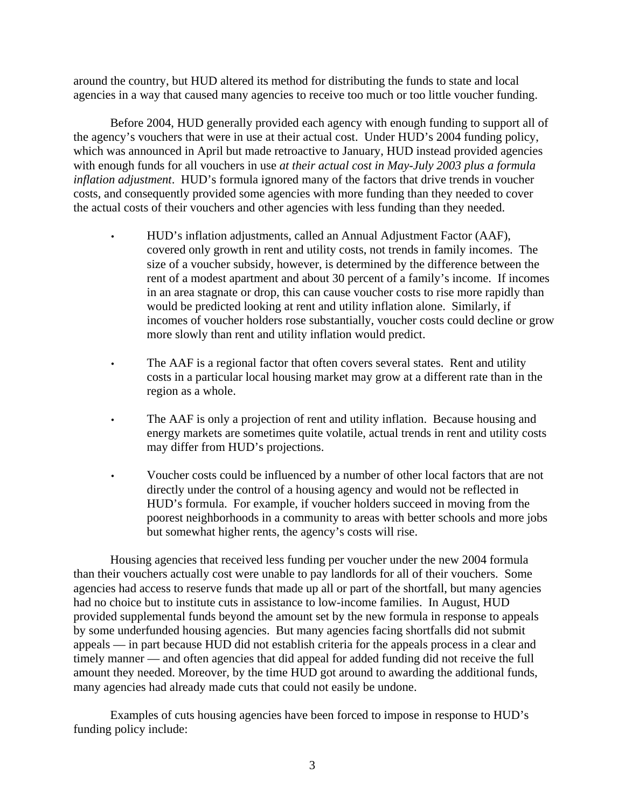around the country, but HUD altered its method for distributing the funds to state and local agencies in a way that caused many agencies to receive too much or too little voucher funding.

 Before 2004, HUD generally provided each agency with enough funding to support all of the agency's vouchers that were in use at their actual cost. Under HUD's 2004 funding policy, which was announced in April but made retroactive to January, HUD instead provided agencies with enough funds for all vouchers in use *at their actual cost in May-July 2003 plus a formula inflation adjustment*. HUD's formula ignored many of the factors that drive trends in voucher costs, and consequently provided some agencies with more funding than they needed to cover the actual costs of their vouchers and other agencies with less funding than they needed.

- HUD's inflation adjustments, called an Annual Adjustment Factor (AAF), covered only growth in rent and utility costs, not trends in family incomes. The size of a voucher subsidy, however, is determined by the difference between the rent of a modest apartment and about 30 percent of a family's income. If incomes in an area stagnate or drop, this can cause voucher costs to rise more rapidly than would be predicted looking at rent and utility inflation alone. Similarly, if incomes of voucher holders rose substantially, voucher costs could decline or grow more slowly than rent and utility inflation would predict.
- The AAF is a regional factor that often covers several states. Rent and utility costs in a particular local housing market may grow at a different rate than in the region as a whole.
- The AAF is only a projection of rent and utility inflation. Because housing and energy markets are sometimes quite volatile, actual trends in rent and utility costs may differ from HUD's projections.
- Voucher costs could be influenced by a number of other local factors that are not directly under the control of a housing agency and would not be reflected in HUD's formula. For example, if voucher holders succeed in moving from the poorest neighborhoods in a community to areas with better schools and more jobs but somewhat higher rents, the agency's costs will rise.

Housing agencies that received less funding per voucher under the new 2004 formula than their vouchers actually cost were unable to pay landlords for all of their vouchers. Some agencies had access to reserve funds that made up all or part of the shortfall, but many agencies had no choice but to institute cuts in assistance to low-income families. In August, HUD provided supplemental funds beyond the amount set by the new formula in response to appeals by some underfunded housing agencies. But many agencies facing shortfalls did not submit appeals — in part because HUD did not establish criteria for the appeals process in a clear and timely manner — and often agencies that did appeal for added funding did not receive the full amount they needed. Moreover, by the time HUD got around to awarding the additional funds, many agencies had already made cuts that could not easily be undone.

Examples of cuts housing agencies have been forced to impose in response to HUD's funding policy include: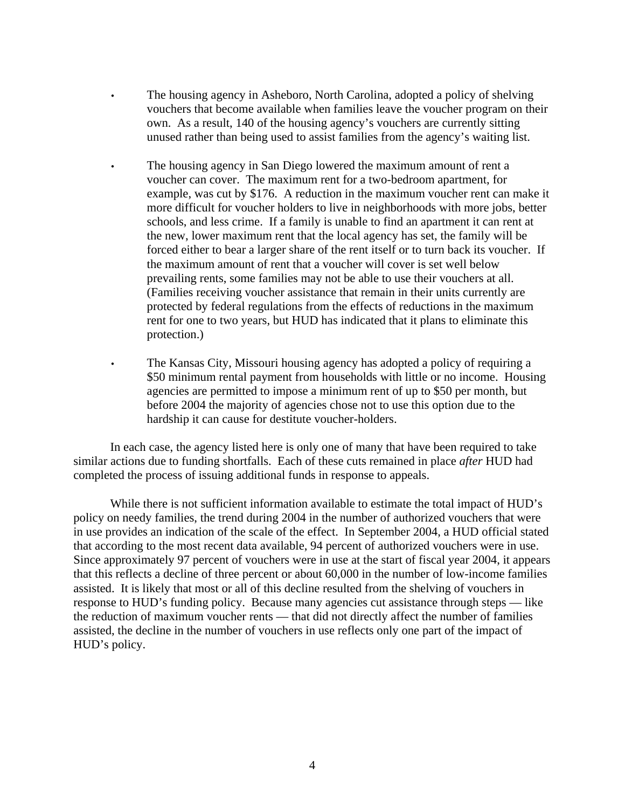- The housing agency in Asheboro, North Carolina, adopted a policy of shelving vouchers that become available when families leave the voucher program on their own. As a result, 140 of the housing agency's vouchers are currently sitting unused rather than being used to assist families from the agency's waiting list.
- The housing agency in San Diego lowered the maximum amount of rent a voucher can cover. The maximum rent for a two-bedroom apartment, for example, was cut by \$176. A reduction in the maximum voucher rent can make it more difficult for voucher holders to live in neighborhoods with more jobs, better schools, and less crime. If a family is unable to find an apartment it can rent at the new, lower maximum rent that the local agency has set, the family will be forced either to bear a larger share of the rent itself or to turn back its voucher. If the maximum amount of rent that a voucher will cover is set well below prevailing rents, some families may not be able to use their vouchers at all. (Families receiving voucher assistance that remain in their units currently are protected by federal regulations from the effects of reductions in the maximum rent for one to two years, but HUD has indicated that it plans to eliminate this protection.)
- The Kansas City, Missouri housing agency has adopted a policy of requiring a \$50 minimum rental payment from households with little or no income. Housing agencies are permitted to impose a minimum rent of up to \$50 per month, but before 2004 the majority of agencies chose not to use this option due to the hardship it can cause for destitute voucher-holders.

In each case, the agency listed here is only one of many that have been required to take similar actions due to funding shortfalls. Each of these cuts remained in place *after* HUD had completed the process of issuing additional funds in response to appeals.

While there is not sufficient information available to estimate the total impact of HUD's policy on needy families, the trend during 2004 in the number of authorized vouchers that were in use provides an indication of the scale of the effect. In September 2004, a HUD official stated that according to the most recent data available, 94 percent of authorized vouchers were in use. Since approximately 97 percent of vouchers were in use at the start of fiscal year 2004, it appears that this reflects a decline of three percent or about 60,000 in the number of low-income families assisted. It is likely that most or all of this decline resulted from the shelving of vouchers in response to HUD's funding policy. Because many agencies cut assistance through steps — like the reduction of maximum voucher rents — that did not directly affect the number of families assisted, the decline in the number of vouchers in use reflects only one part of the impact of HUD's policy.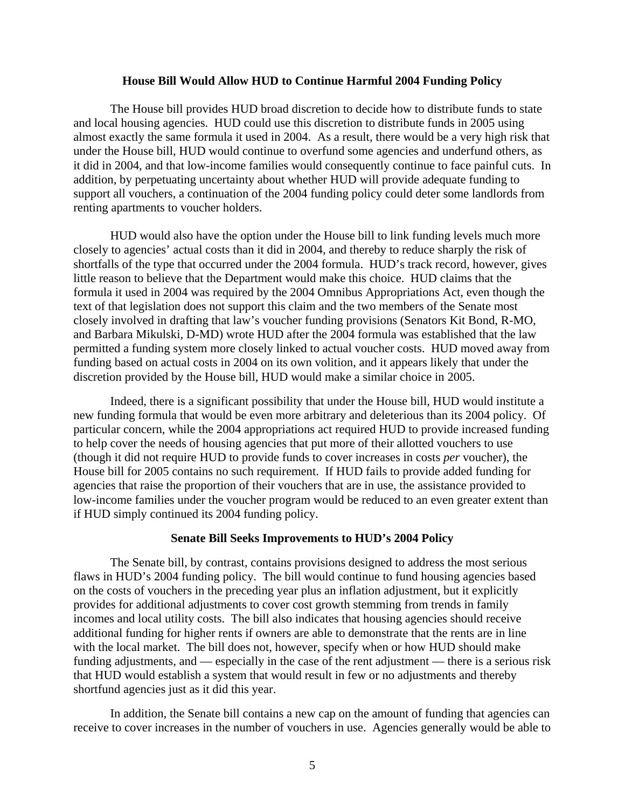#### **House Bill Would Allow HUD to Continue Harmful 2004 Funding Policy**

The House bill provides HUD broad discretion to decide how to distribute funds to state and local housing agencies. HUD could use this discretion to distribute funds in 2005 using almost exactly the same formula it used in 2004. As a result, there would be a very high risk that under the House bill, HUD would continue to overfund some agencies and underfund others, as it did in 2004, and that low-income families would consequently continue to face painful cuts. In addition, by perpetuating uncertainty about whether HUD will provide adequate funding to support all vouchers, a continuation of the 2004 funding policy could deter some landlords from renting apartments to voucher holders.

HUD would also have the option under the House bill to link funding levels much more closely to agencies' actual costs than it did in 2004, and thereby to reduce sharply the risk of shortfalls of the type that occurred under the 2004 formula. HUD's track record, however, gives little reason to believe that the Department would make this choice. HUD claims that the formula it used in 2004 was required by the 2004 Omnibus Appropriations Act, even though the text of that legislation does not support this claim and the two members of the Senate most closely involved in drafting that law's voucher funding provisions (Senators Kit Bond, R-MO, and Barbara Mikulski, D-MD) wrote HUD after the 2004 formula was established that the law permitted a funding system more closely linked to actual voucher costs. HUD moved away from funding based on actual costs in 2004 on its own volition, and it appears likely that under the discretion provided by the House bill, HUD would make a similar choice in 2005.

Indeed, there is a significant possibility that under the House bill, HUD would institute a new funding formula that would be even more arbitrary and deleterious than its 2004 policy. Of particular concern, while the 2004 appropriations act required HUD to provide increased funding to help cover the needs of housing agencies that put more of their allotted vouchers to use (though it did not require HUD to provide funds to cover increases in costs *per* voucher), the House bill for 2005 contains no such requirement. If HUD fails to provide added funding for agencies that raise the proportion of their vouchers that are in use, the assistance provided to low-income families under the voucher program would be reduced to an even greater extent than if HUD simply continued its 2004 funding policy.

### **Senate Bill Seeks Improvements to HUD's 2004 Policy**

The Senate bill, by contrast, contains provisions designed to address the most serious flaws in HUD's 2004 funding policy. The bill would continue to fund housing agencies based on the costs of vouchers in the preceding year plus an inflation adjustment, but it explicitly provides for additional adjustments to cover cost growth stemming from trends in family incomes and local utility costs. The bill also indicates that housing agencies should receive additional funding for higher rents if owners are able to demonstrate that the rents are in line with the local market. The bill does not, however, specify when or how HUD should make funding adjustments, and — especially in the case of the rent adjustment — there is a serious risk that HUD would establish a system that would result in few or no adjustments and thereby shortfund agencies just as it did this year.

In addition, the Senate bill contains a new cap on the amount of funding that agencies can receive to cover increases in the number of vouchers in use. Agencies generally would be able to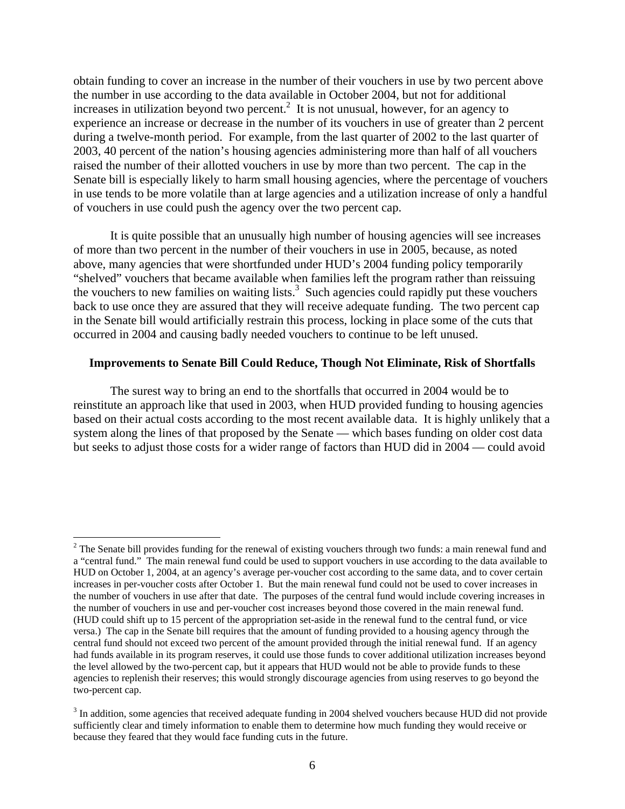obtain funding to cover an increase in the number of their vouchers in use by two percent above the number in use according to the data available in October 2004, but not for additional increases in utilization beyond two percent.<sup>2</sup> It is not unusual, however, for an agency to experience an increase or decrease in the number of its vouchers in use of greater than 2 percent during a twelve-month period. For example, from the last quarter of 2002 to the last quarter of 2003, 40 percent of the nation's housing agencies administering more than half of all vouchers raised the number of their allotted vouchers in use by more than two percent. The cap in the Senate bill is especially likely to harm small housing agencies, where the percentage of vouchers in use tends to be more volatile than at large agencies and a utilization increase of only a handful of vouchers in use could push the agency over the two percent cap.

It is quite possible that an unusually high number of housing agencies will see increases of more than two percent in the number of their vouchers in use in 2005, because, as noted above, many agencies that were shortfunded under HUD's 2004 funding policy temporarily "shelved" vouchers that became available when families left the program rather than reissuing the vouchers to new families on waiting lists. $3$  Such agencies could rapidly put these vouchers back to use once they are assured that they will receive adequate funding. The two percent cap in the Senate bill would artificially restrain this process, locking in place some of the cuts that occurred in 2004 and causing badly needed vouchers to continue to be left unused.

#### **Improvements to Senate Bill Could Reduce, Though Not Eliminate, Risk of Shortfalls**

The surest way to bring an end to the shortfalls that occurred in 2004 would be to reinstitute an approach like that used in 2003, when HUD provided funding to housing agencies based on their actual costs according to the most recent available data. It is highly unlikely that a system along the lines of that proposed by the Senate — which bases funding on older cost data but seeks to adjust those costs for a wider range of factors than HUD did in 2004 — could avoid

 $\overline{a}$ 

 $2^2$  The Senate bill provides funding for the renewal of existing vouchers through two funds: a main renewal fund and a "central fund." The main renewal fund could be used to support vouchers in use according to the data available to HUD on October 1, 2004, at an agency's average per-voucher cost according to the same data, and to cover certain increases in per-voucher costs after October 1. But the main renewal fund could not be used to cover increases in the number of vouchers in use after that date. The purposes of the central fund would include covering increases in the number of vouchers in use and per-voucher cost increases beyond those covered in the main renewal fund. (HUD could shift up to 15 percent of the appropriation set-aside in the renewal fund to the central fund, or vice versa.) The cap in the Senate bill requires that the amount of funding provided to a housing agency through the central fund should not exceed two percent of the amount provided through the initial renewal fund. If an agency had funds available in its program reserves, it could use those funds to cover additional utilization increases beyond the level allowed by the two-percent cap, but it appears that HUD would not be able to provide funds to these agencies to replenish their reserves; this would strongly discourage agencies from using reserves to go beyond the two-percent cap.

 $3$  In addition, some agencies that received adequate funding in 2004 shelved vouchers because HUD did not provide sufficiently clear and timely information to enable them to determine how much funding they would receive or because they feared that they would face funding cuts in the future.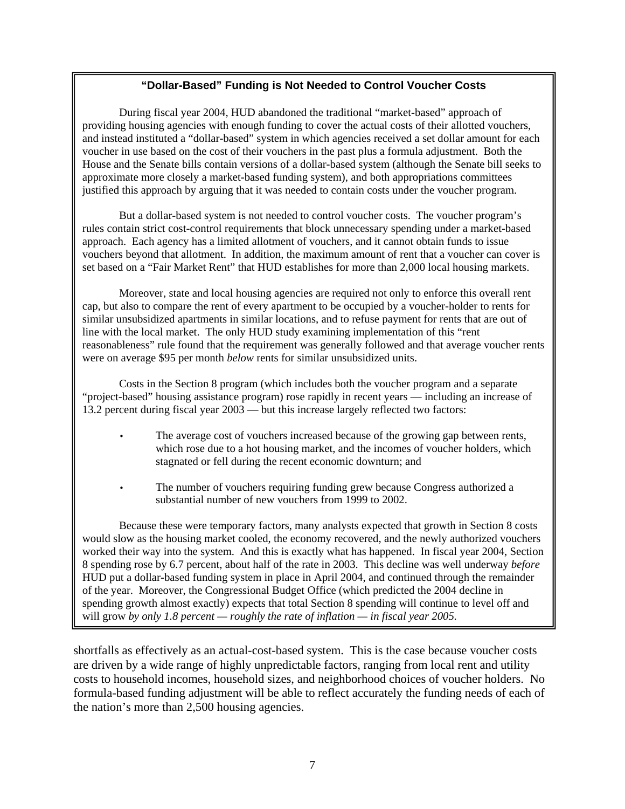# **"Dollar-Based" Funding is Not Needed to Control Voucher Costs**

During fiscal year 2004, HUD abandoned the traditional "market-based" approach of providing housing agencies with enough funding to cover the actual costs of their allotted vouchers, and instead instituted a "dollar-based" system in which agencies received a set dollar amount for each voucher in use based on the cost of their vouchers in the past plus a formula adjustment. Both the House and the Senate bills contain versions of a dollar-based system (although the Senate bill seeks to approximate more closely a market-based funding system), and both appropriations committees justified this approach by arguing that it was needed to contain costs under the voucher program.

 But a dollar-based system is not needed to control voucher costs. The voucher program's rules contain strict cost-control requirements that block unnecessary spending under a market-based approach. Each agency has a limited allotment of vouchers, and it cannot obtain funds to issue vouchers beyond that allotment. In addition, the maximum amount of rent that a voucher can cover is set based on a "Fair Market Rent" that HUD establishes for more than 2,000 local housing markets.

Moreover, state and local housing agencies are required not only to enforce this overall rent cap, but also to compare the rent of every apartment to be occupied by a voucher-holder to rents for similar unsubsidized apartments in similar locations, and to refuse payment for rents that are out of line with the local market. The only HUD study examining implementation of this "rent reasonableness" rule found that the requirement was generally followed and that average voucher rents were on average \$95 per month *below* rents for similar unsubsidized units.

Costs in the Section 8 program (which includes both the voucher program and a separate "project-based" housing assistance program) rose rapidly in recent years — including an increase of 13.2 percent during fiscal year 2003 — but this increase largely reflected two factors:

- The average cost of vouchers increased because of the growing gap between rents, which rose due to a hot housing market, and the incomes of voucher holders, which stagnated or fell during the recent economic downturn; and
- The number of vouchers requiring funding grew because Congress authorized a substantial number of new vouchers from 1999 to 2002.

 Because these were temporary factors, many analysts expected that growth in Section 8 costs would slow as the housing market cooled, the economy recovered, and the newly authorized vouchers worked their way into the system. And this is exactly what has happened. In fiscal year 2004, Section 8 spending rose by 6.7 percent, about half of the rate in 2003. This decline was well underway *before*  HUD put a dollar-based funding system in place in April 2004, and continued through the remainder of the year. Moreover, the Congressional Budget Office (which predicted the 2004 decline in spending growth almost exactly) expects that total Section 8 spending will continue to level off and will grow *by only 1.8 percent — roughly the rate of inflation — in fiscal year 2005.*

shortfalls as effectively as an actual-cost-based system. This is the case because voucher costs are driven by a wide range of highly unpredictable factors, ranging from local rent and utility costs to household incomes, household sizes, and neighborhood choices of voucher holders. No formula-based funding adjustment will be able to reflect accurately the funding needs of each of the nation's more than 2,500 housing agencies.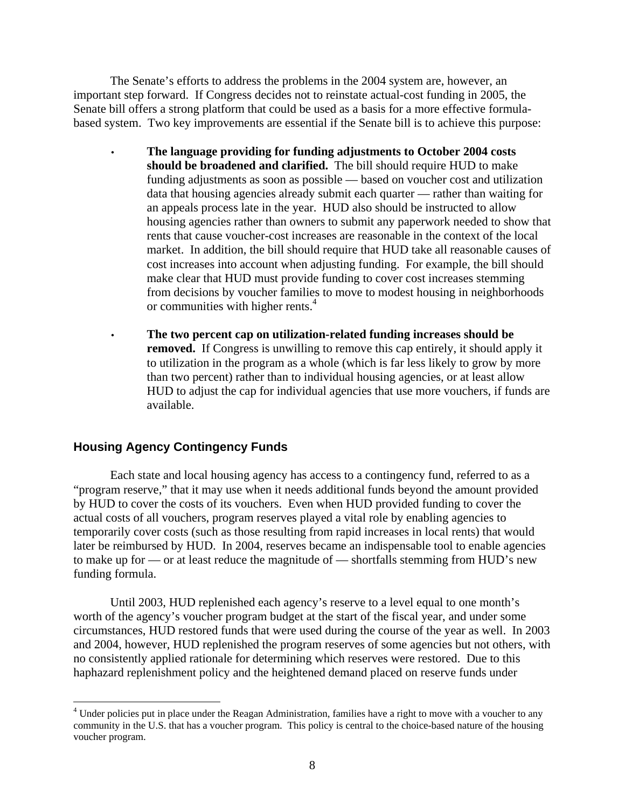The Senate's efforts to address the problems in the 2004 system are, however, an important step forward. If Congress decides not to reinstate actual-cost funding in 2005, the Senate bill offers a strong platform that could be used as a basis for a more effective formulabased system. Two key improvements are essential if the Senate bill is to achieve this purpose:

- **The language providing for funding adjustments to October 2004 costs should be broadened and clarified.** The bill should require HUD to make funding adjustments as soon as possible — based on voucher cost and utilization data that housing agencies already submit each quarter — rather than waiting for an appeals process late in the year. HUD also should be instructed to allow housing agencies rather than owners to submit any paperwork needed to show that rents that cause voucher-cost increases are reasonable in the context of the local market. In addition, the bill should require that HUD take all reasonable causes of cost increases into account when adjusting funding. For example, the bill should make clear that HUD must provide funding to cover cost increases stemming from decisions by voucher families to move to modest housing in neighborhoods or communities with higher rents.<sup>4</sup>
- **The two percent cap on utilization-related funding increases should be removed.** If Congress is unwilling to remove this cap entirely, it should apply it to utilization in the program as a whole (which is far less likely to grow by more than two percent) rather than to individual housing agencies, or at least allow HUD to adjust the cap for individual agencies that use more vouchers, if funds are available.

#### **Housing Agency Contingency Funds**

 $\overline{a}$ 

Each state and local housing agency has access to a contingency fund, referred to as a "program reserve," that it may use when it needs additional funds beyond the amount provided by HUD to cover the costs of its vouchers. Even when HUD provided funding to cover the actual costs of all vouchers, program reserves played a vital role by enabling agencies to temporarily cover costs (such as those resulting from rapid increases in local rents) that would later be reimbursed by HUD. In 2004, reserves became an indispensable tool to enable agencies to make up for — or at least reduce the magnitude of — shortfalls stemming from HUD's new funding formula.

Until 2003, HUD replenished each agency's reserve to a level equal to one month's worth of the agency's voucher program budget at the start of the fiscal year, and under some circumstances, HUD restored funds that were used during the course of the year as well. In 2003 and 2004, however, HUD replenished the program reserves of some agencies but not others, with no consistently applied rationale for determining which reserves were restored. Due to this haphazard replenishment policy and the heightened demand placed on reserve funds under

<sup>&</sup>lt;sup>4</sup> Under policies put in place under the Reagan Administration, families have a right to move with a voucher to any community in the U.S. that has a voucher program. This policy is central to the choice-based nature of the housing voucher program.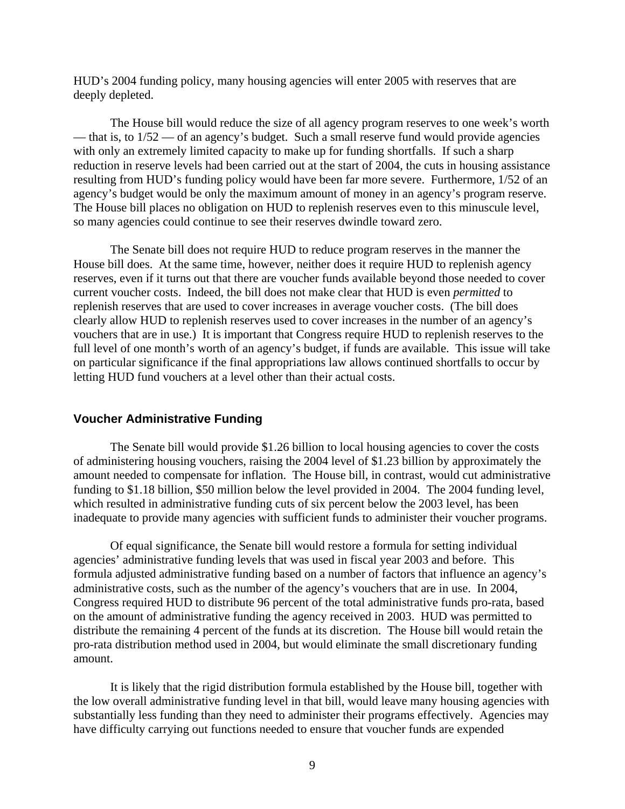HUD's 2004 funding policy, many housing agencies will enter 2005 with reserves that are deeply depleted.

The House bill would reduce the size of all agency program reserves to one week's worth — that is, to  $1/52$  — of an agency's budget. Such a small reserve fund would provide agencies with only an extremely limited capacity to make up for funding shortfalls. If such a sharp reduction in reserve levels had been carried out at the start of 2004, the cuts in housing assistance resulting from HUD's funding policy would have been far more severe. Furthermore, 1/52 of an agency's budget would be only the maximum amount of money in an agency's program reserve. The House bill places no obligation on HUD to replenish reserves even to this minuscule level, so many agencies could continue to see their reserves dwindle toward zero.

The Senate bill does not require HUD to reduce program reserves in the manner the House bill does. At the same time, however, neither does it require HUD to replenish agency reserves, even if it turns out that there are voucher funds available beyond those needed to cover current voucher costs. Indeed, the bill does not make clear that HUD is even *permitted* to replenish reserves that are used to cover increases in average voucher costs. (The bill does clearly allow HUD to replenish reserves used to cover increases in the number of an agency's vouchers that are in use.) It is important that Congress require HUD to replenish reserves to the full level of one month's worth of an agency's budget, if funds are available. This issue will take on particular significance if the final appropriations law allows continued shortfalls to occur by letting HUD fund vouchers at a level other than their actual costs.

#### **Voucher Administrative Funding**

 The Senate bill would provide \$1.26 billion to local housing agencies to cover the costs of administering housing vouchers, raising the 2004 level of \$1.23 billion by approximately the amount needed to compensate for inflation. The House bill, in contrast, would cut administrative funding to \$1.18 billion, \$50 million below the level provided in 2004. The 2004 funding level, which resulted in administrative funding cuts of six percent below the 2003 level, has been inadequate to provide many agencies with sufficient funds to administer their voucher programs.

Of equal significance, the Senate bill would restore a formula for setting individual agencies' administrative funding levels that was used in fiscal year 2003 and before. This formula adjusted administrative funding based on a number of factors that influence an agency's administrative costs, such as the number of the agency's vouchers that are in use. In 2004, Congress required HUD to distribute 96 percent of the total administrative funds pro-rata, based on the amount of administrative funding the agency received in 2003. HUD was permitted to distribute the remaining 4 percent of the funds at its discretion. The House bill would retain the pro-rata distribution method used in 2004, but would eliminate the small discretionary funding amount.

It is likely that the rigid distribution formula established by the House bill, together with the low overall administrative funding level in that bill, would leave many housing agencies with substantially less funding than they need to administer their programs effectively. Agencies may have difficulty carrying out functions needed to ensure that voucher funds are expended